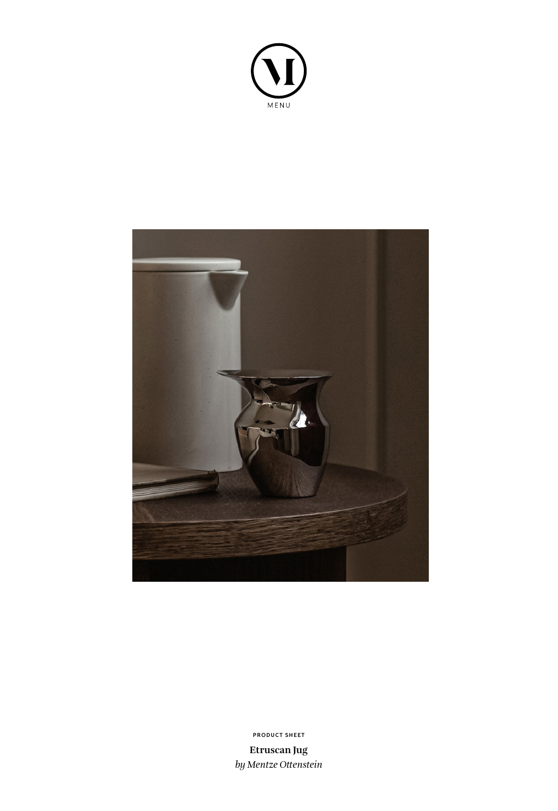



**PRODUCT SHEET**

**Etruscan Jug** *by Mentze Ottenstein*